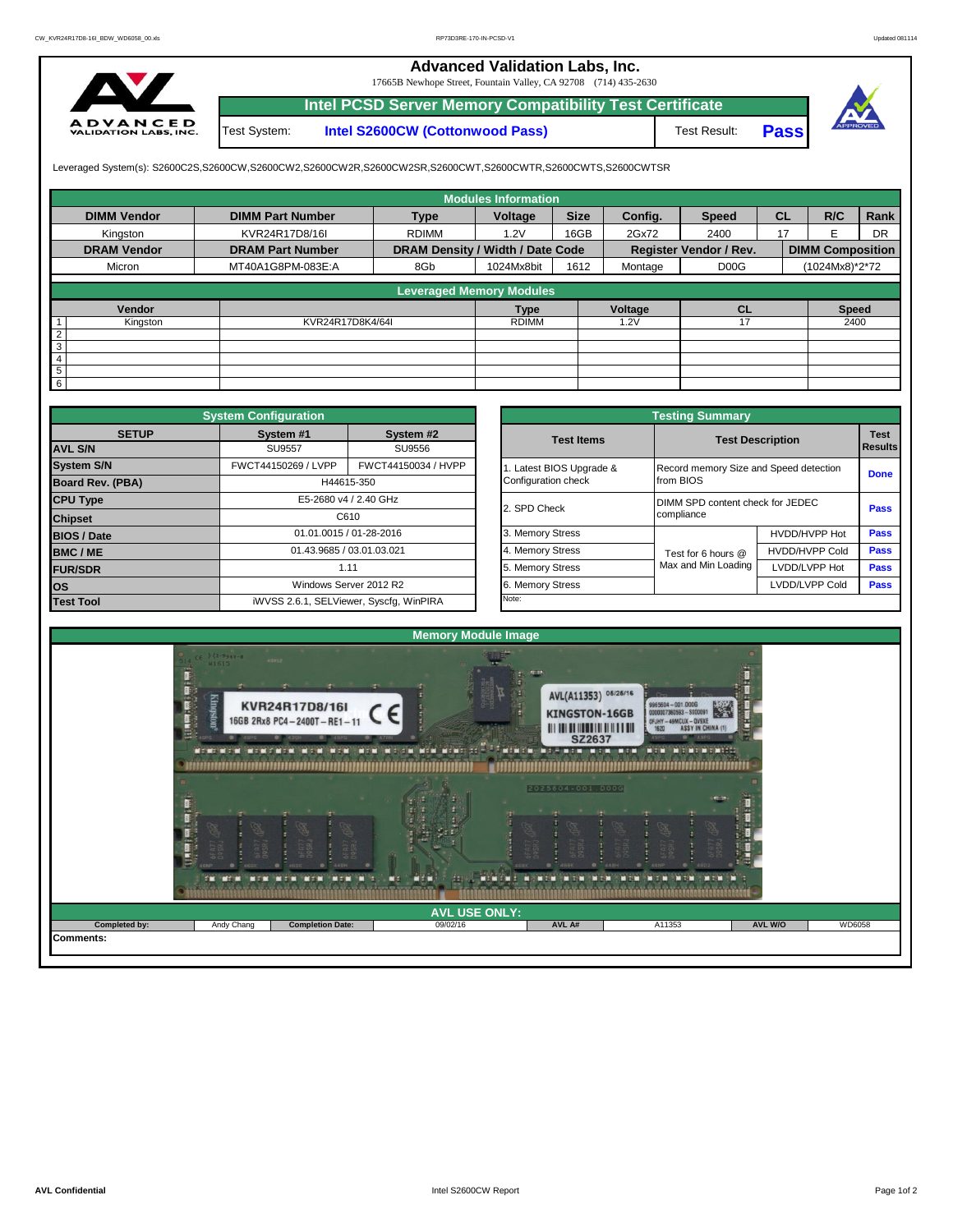## **Advanced Validation Labs, Inc.**

17665B Newhope Street, Fountain Valley, CA 92708 (714) 435-2630



Test System: **Intel S2600CW (Cottonwood Pass) Intel PCSD Server Memory Compatibility Test Certificate**

Test Result: **Pass**



Leveraged System(s): S2600C2S,S2600CW,S2600CW2,S2600CW2R,S2600CW2SR,S2600CWT,S2600CWTR,S2600CWTS,S2600CWTSR

|                    |                         |                                  | <b>Modules Information</b> |             |         |                               |           |                         |      |
|--------------------|-------------------------|----------------------------------|----------------------------|-------------|---------|-------------------------------|-----------|-------------------------|------|
| <b>DIMM Vendor</b> | <b>DIMM Part Number</b> | <b>Type</b>                      | Voltage                    | <b>Size</b> | Config. | <b>Speed</b>                  | <b>CL</b> | R/C                     | Rank |
| Kingston           | KVR24R17D8/16I          | <b>RDIMM</b>                     | 1.2V                       | 16GB        | 2Gx72   | 2400                          | 17        |                         | DR   |
| <b>DRAM Vendor</b> | <b>DRAM Part Number</b> | DRAM Density / Width / Date Code |                            |             |         | <b>Register Vendor / Rev.</b> |           | <b>DIMM Composition</b> |      |
| Micron             | MT40A1G8PM-083E:A       | 8Gb                              | 1024Mx8bit                 | 1612        | Montage | D <sub>0</sub> <sub>O</sub> G |           | (1024Mx8)*2*72          |      |
|                    |                         |                                  |                            |             |         |                               |           |                         |      |
|                    |                         | <b>Leveraged Memory Modules</b>  |                            |             |         |                               |           |                         |      |
| Vendor             |                         |                                  | <b>Type</b>                |             | Voltage | <b>CL</b>                     |           | <b>Speed</b>            |      |
| Kingston           | KVR24R17D8K4/64I        |                                  | <b>RDIMM</b>               |             | .2V     |                               |           | 2400                    |      |
| C                  |                         |                                  |                            |             |         |                               |           |                         |      |
| 3                  |                         |                                  |                            |             |         |                               |           |                         |      |
|                    |                         |                                  |                            |             |         |                               |           |                         |      |
| 5                  |                         |                                  |                            |             |         |                               |           |                         |      |
| 6                  |                         |                                  |                            |             |         |                               |           |                         |      |

|                         | <b>System Configuration</b>         |                                         |                       |                   | <b>Testing Summary</b>                 |                         |                               |  |  |  |
|-------------------------|-------------------------------------|-----------------------------------------|-----------------------|-------------------|----------------------------------------|-------------------------|-------------------------------|--|--|--|
| <b>SETUP</b>            | System #1                           | System #2                               |                       | <b>Test Items</b> |                                        | <b>Test Description</b> | <b>Test</b><br><b>Results</b> |  |  |  |
| <b>AVL S/N</b>          | SU9557                              | SU9556                                  |                       |                   |                                        |                         |                               |  |  |  |
| <b>System S/N</b>       | FWCT44150269 / LVPP                 | FWCT44150034 / HVPP                     | Latest BIOS Upgrade & |                   | Record memory Size and Speed detection | <b>Done</b>             |                               |  |  |  |
| <b>Board Rev. (PBA)</b> | H44615-350<br>E5-2680 v4 / 2.40 GHz |                                         |                       |                   | from BIOS                              |                         |                               |  |  |  |
| <b>CPU Type</b>         |                                     |                                         |                       | 2. SPD Check      | DIMM SPD content check for JEDEC       |                         |                               |  |  |  |
| <b>Chipset</b>          | C610                                |                                         |                       | compliance        | Pass                                   |                         |                               |  |  |  |
| <b>BIOS / Date</b>      |                                     | 01.01.0015 / 01-28-2016                 |                       | 3. Memory Stress  |                                        | HVDD/HVPP Hot           | <b>Pass</b>                   |  |  |  |
| <b>BMC/ME</b>           |                                     | 01.43.9685 / 03.01.03.021               |                       | 4. Memory Stress  | Test for 6 hours @                     | <b>HVDD/HVPP Cold</b>   | Pass                          |  |  |  |
| <b>FUR/SDR</b>          |                                     | 1.11                                    |                       | 5. Memory Stress  | Max and Min Loading                    | LVDD/LVPP Hot           | Pass                          |  |  |  |
| <b>los</b>              |                                     | Windows Server 2012 R2                  |                       | 6. Memory Stress  |                                        | LVDD/LVPP Cold          | <b>Pass</b>                   |  |  |  |
| <b>Test Tool</b>        |                                     | iWVSS 2.6.1, SELViewer, Syscfq, WinPIRA |                       | Note:             |                                        |                         |                               |  |  |  |

|              | <b>System Configuration</b><br><b>Testing Summary</b> |                                         |                       |                                        |                                          |                |
|--------------|-------------------------------------------------------|-----------------------------------------|-----------------------|----------------------------------------|------------------------------------------|----------------|
| <b>SETUP</b> | System #1                                             | System #2                               | <b>Test Items</b>     | <b>Test Description</b>                |                                          | <b>Test</b>    |
|              | <b>SU9557</b>                                         | SU9556                                  |                       |                                        |                                          | <b>Results</b> |
|              | FWCT44150269 / LVPP                                   | FWCT44150034 / HVPP                     | Latest BIOS Upgrade & | Record memory Size and Speed detection |                                          |                |
| PBA)         |                                                       | H44615-350                              | Configuration check   | from BIOS                              |                                          | <b>Done</b>    |
|              |                                                       | E5-2680 v4 / 2.40 GHz                   | 2. SPD Check          |                                        | DIMM SPD content check for JEDEC<br>Pass |                |
|              |                                                       | C610                                    |                       | compliance                             |                                          |                |
|              |                                                       | 01.01.0015 / 01-28-2016                 | 3. Memory Stress      |                                        | HVDD/HVPP Hot                            | Pass           |
|              | 01.43.9685 / 03.01.03.021                             |                                         | 4. Memory Stress      | Test for 6 hours @                     | <b>HVDD/HVPP Cold</b>                    | Pass           |
|              |                                                       | 1.11                                    | 5. Memory Stress      | Max and Min Loading                    | LVDD/LVPP Hot                            | Pass           |
|              |                                                       | Windows Server 2012 R2                  | 6. Memory Stress      |                                        | LVDD/LVPP Cold                           | Pass           |
|              |                                                       | iWVSS 2.6.1, SELViewer, Syscfq, WinPIRA | Note:                 |                                        |                                          |                |